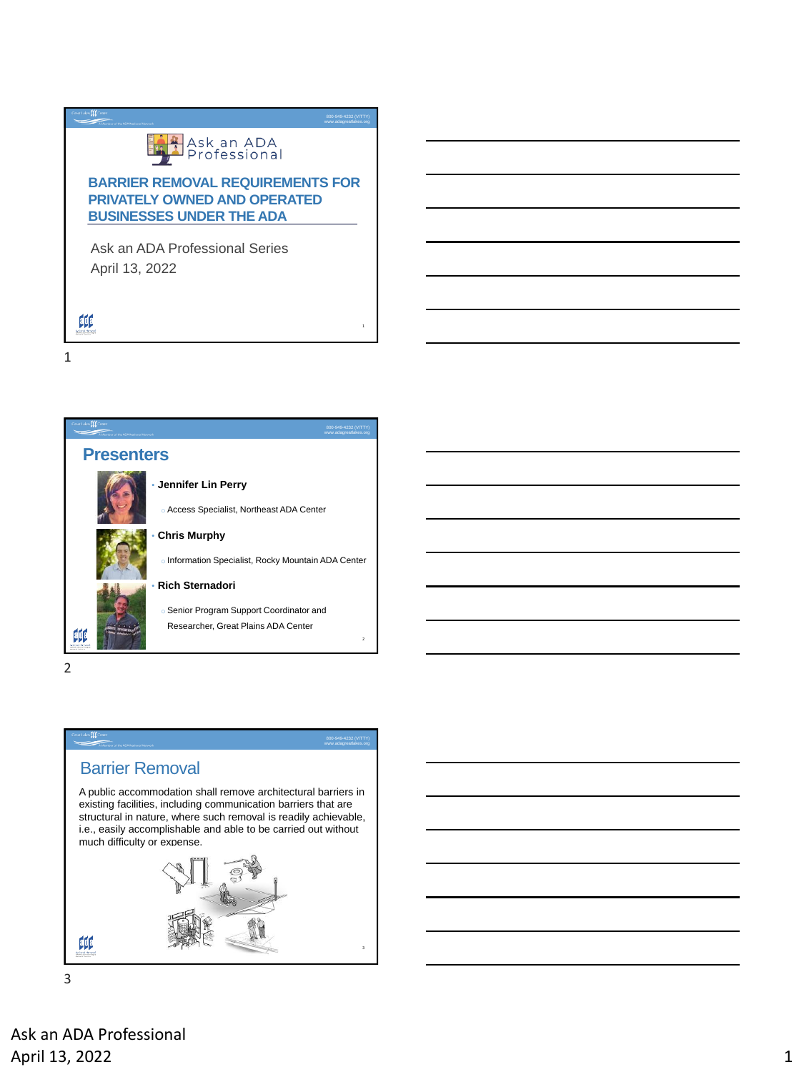# **Light** Ask an ADA<br>Professional

### **BARRIER REMOVAL REQUIREMENTS FOR PRIVATELY OWNED AND OPERATED BUSINESSES UNDER THE ADA**

800-949-4232 (V/TTY) www.adagreatlakes.org

Ask an ADA Professional Series April 13, 2022

1



2

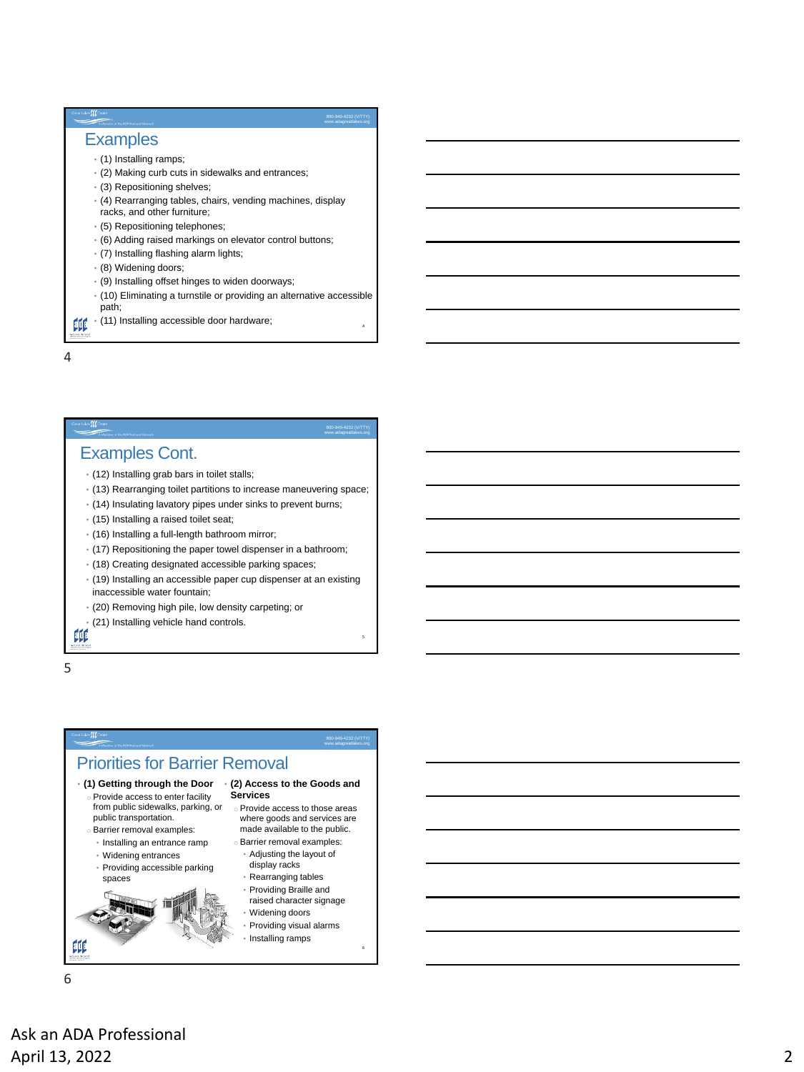| Great Lakes ELE Center<br>Member of the ADA National Network                                                        | v.adagreatlakes.org |
|---------------------------------------------------------------------------------------------------------------------|---------------------|
| <b>Examples</b>                                                                                                     |                     |
| $\cdot$ (1) Installing ramps;<br>. (2) Making curb cuts in sidewalks and entrances;<br>• (3) Repositioning shelves; |                     |
| • (4) Rearranging tables, chairs, vending machines, display<br>racks, and other furniture;                          |                     |
| • (5) Repositioning telephones;                                                                                     |                     |
| • (6) Adding raised markings on elevator control buttons;                                                           |                     |
| · (7) Installing flashing alarm lights;                                                                             |                     |
| · (8) Widening doors;                                                                                               |                     |
| · (9) Installing offset hinges to widen doorways;                                                                   |                     |
| • (10) Eliminating a turnstile or providing an alternative accessible<br>path;                                      |                     |
| · (11) Installing accessible door hardware;                                                                         |                     |

4

#### www.adagreatlakes.org

## Examples Cont.

- (12) Installing grab bars in toilet stalls;
- (13) Rearranging toilet partitions to increase maneuvering space;
- (14) Insulating lavatory pipes under sinks to prevent burns;
- (15) Installing a raised toilet seat;
- (16) Installing a full-length bathroom mirror;
- (17) Repositioning the paper towel dispenser in a bathroom;
- (18) Creating designated accessible parking spaces;
- (19) Installing an accessible paper cup dispenser at an existing inaccessible water fountain;
- (20) Removing high pile, low density carpeting; or
- (21) Installing vehicle hand controls.

5

# 4<br>5<br>5<br>6<br>6 www.adagreatlakes.org Priorities for Barrier Removal • **(1) Getting through the Door** • **(2) Access to the Goods and**  Provide access to enter facility **Services** from public sidewalks, parking, or o Provide access to those areas public transportation. where goods and services are made available to the public. o Barrier removal examples: • Installing an entrance ramp Barrier removal examples: • Adjusting the layout of • Widening entrances display racks • Providing accessible parking • Rearranging tables spaces • Providing Braille and raised character signage • Widening doors • Providing visual alarms • Installing ramps 邮

6

Ask an ADA Professional April 13, 2022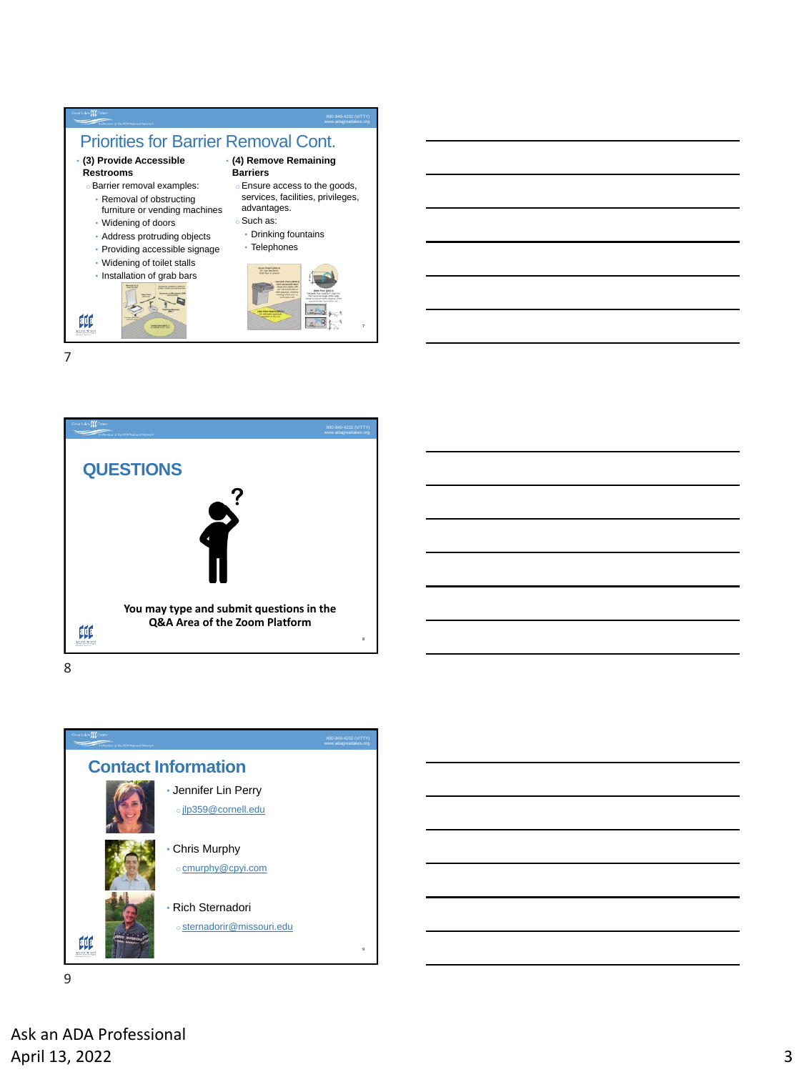





8



9